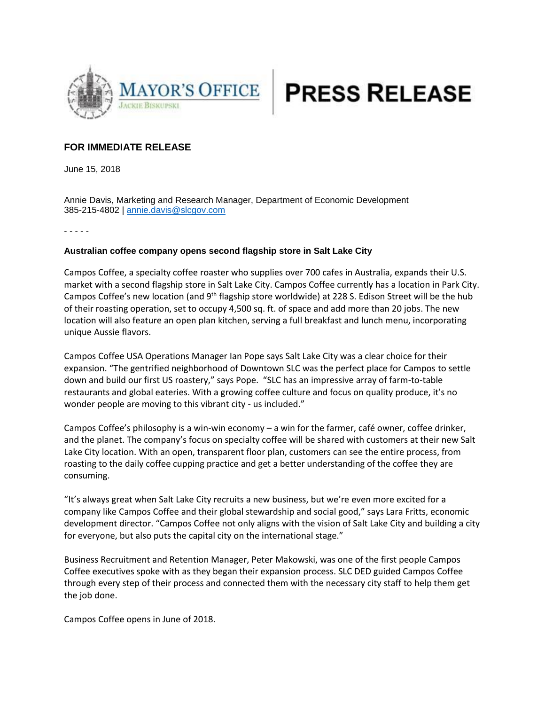



## **FOR IMMEDIATE RELEASE**

June 15, 2018

Annie Davis, Marketing and Research Manager, Department of Economic Development 385-215-4802 | [annie.davis@slcgov.com](mailto:annie.davis@slcgov.com)

- - - - -

## **Australian coffee company opens second flagship store in Salt Lake City**

Campos Coffee, a specialty coffee roaster who supplies over 700 cafes in Australia, expands their U.S. market with a second flagship store in Salt Lake City. Campos Coffee currently has a location in Park City. Campos Coffee's new location (and 9<sup>th</sup> flagship store worldwide) at 228 S. Edison Street will be the hub of their roasting operation, set to occupy 4,500 sq. ft. of space and add more than 20 jobs. The new location will also feature an open plan kitchen, serving a full breakfast and lunch menu, incorporating unique Aussie flavors.

Campos Coffee USA Operations Manager Ian Pope says Salt Lake City was a clear choice for their expansion. "The gentrified neighborhood of Downtown SLC was the perfect place for Campos to settle down and build our first US roastery," says Pope. "SLC has an impressive array of farm-to-table restaurants and global eateries. With a growing coffee culture and focus on quality produce, it's no wonder people are moving to this vibrant city - us included."

Campos Coffee's philosophy is a win-win economy – a win for the farmer, café owner, coffee drinker, and the planet. The company's focus on specialty coffee will be shared with customers at their new Salt Lake City location. With an open, transparent floor plan, customers can see the entire process, from roasting to the daily coffee cupping practice and get a better understanding of the coffee they are consuming.

"It's always great when Salt Lake City recruits a new business, but we're even more excited for a company like Campos Coffee and their global stewardship and social good," says Lara Fritts, economic development director. "Campos Coffee not only aligns with the vision of Salt Lake City and building a city for everyone, but also puts the capital city on the international stage."

Business Recruitment and Retention Manager, Peter Makowski, was one of the first people Campos Coffee executives spoke with as they began their expansion process. SLC DED guided Campos Coffee through every step of their process and connected them with the necessary city staff to help them get the job done.

Campos Coffee opens in June of 2018.